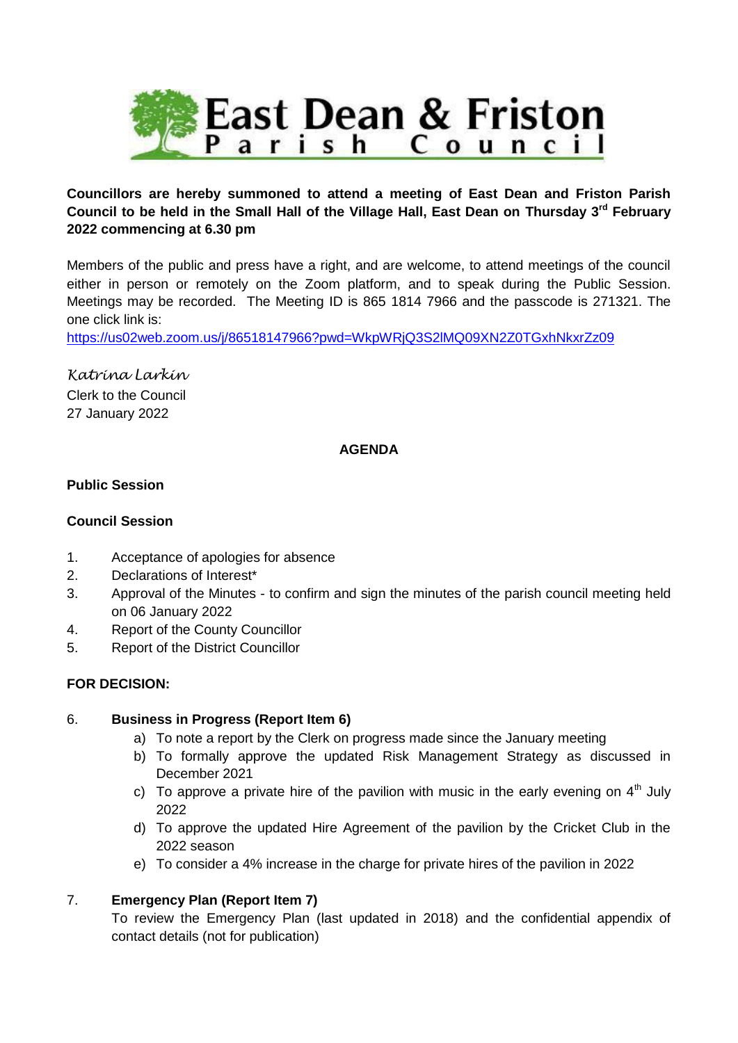

## **Councillors are hereby summoned to attend a meeting of East Dean and Friston Parish Council to be held in the Small Hall of the Village Hall, East Dean on Thursday 3rd February 2022 commencing at 6.30 pm**

Members of the public and press have a right, and are welcome, to attend meetings of the council either in person or remotely on the Zoom platform, and to speak during the Public Session. Meetings may be recorded. The Meeting ID is 865 1814 7966 and the passcode is 271321. The one click link is:

<https://us02web.zoom.us/j/86518147966?pwd=WkpWRjQ3S2lMQ09XN2Z0TGxhNkxrZz09>

*Katrina Larkin* Clerk to the Council 27 January 2022

#### **AGENDA**

#### **Public Session**

#### **Council Session**

- 1. Acceptance of apologies for absence
- 2. Declarations of Interest\*
- 3. Approval of the Minutes to confirm and sign the minutes of the parish council meeting held on 06 January 2022
- 4. Report of the County Councillor
- 5. Report of the District Councillor

## **FOR DECISION:**

#### 6. **Business in Progress (Report Item 6)**

- a) To note a report by the Clerk on progress made since the January meeting
- b) To formally approve the updated Risk Management Strategy as discussed in December 2021
- c) To approve a private hire of the pavilion with music in the early evening on  $4<sup>th</sup>$  July 2022
- d) To approve the updated Hire Agreement of the pavilion by the Cricket Club in the 2022 season
- e) To consider a 4% increase in the charge for private hires of the pavilion in 2022

## 7. **Emergency Plan (Report Item 7)**

To review the Emergency Plan (last updated in 2018) and the confidential appendix of contact details (not for publication)